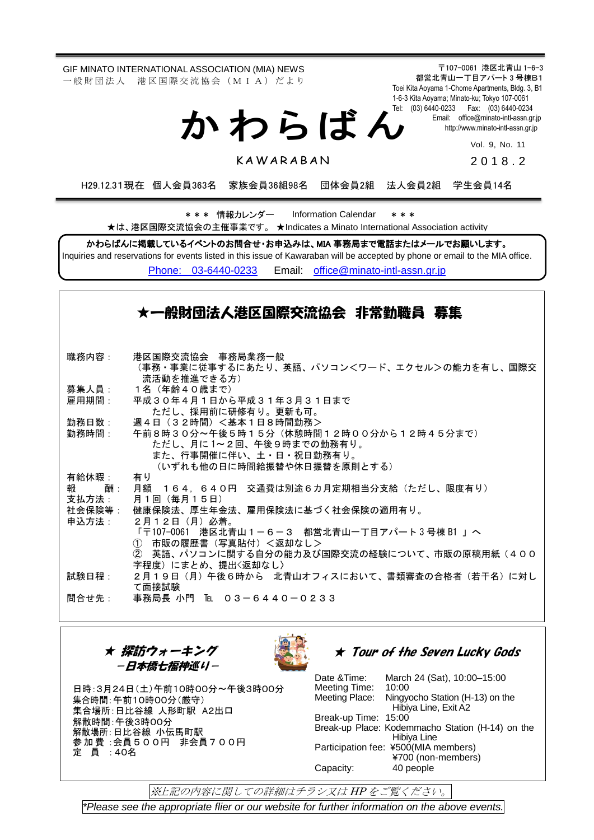GIF MINATO INTERNATIONAL ASSOCIATION (MIA) NEWS 一 般 財 団 法 人 港 区 国 際 交 流 協 会 (M I A) だ よ り

か わ ら ば ん

〒107-0061 港区北青山 1-6-3 都営北青山一丁目アパート 3 号棟B1 Toei Kita Aoyama 1-Chome Apartments, Bldg. 3, B1 1-6-3 Kita Aoyama; Minato-ku; Tokyo 107-0061 Tel: (03) 6440-0233 Fax: (03) 6440-0234 Email: [office@minato-intl-assn.gr.jp](mailto:office@minato-intl-assn.gr.jp) [http://www.minato-intl-assn.gr.jp](http://www.minato-intl-assn.gr.jp/)

Vol. 9, No. 11

**KAWARABAN** 

201 8 . 2

H29.12.31現在 個人会員363名 家族会員36組98名 団体会員2組 法人会員2組 学生会員14名

\* \* \* 情報カレンダー Information Calendar \* \* \* ★は、港区国際交流協会の主催事業です。 ★Indicates a Minato International Association activity

かわらばんに掲載しているイベントのお問合せ・お申込みは、MIA 事務局まで電話またはメールでお願いします。

Inquiries and reservations for events listed in this issue of Kawaraban will be accepted by phone or email to the MIA office. [Phone: 03-6440-0233](mailto:Phone:%20%2003-6440-0233) Email: [office@minato-intl-assn.gr.jp](mailto:office@minato-intl-assn.gr.jp)

### ★一般財団法人港区国際交流協会 非常勤職員 募集

勤務時間: 職務内容: 港区国際交流協会 事務局業務一般 (事務・事業に従事するにあたり、英語、パソコン<ワード、エクセル>の能力を有し、国際交 流活動を推進できる方) 募集人員: 1名(年齢40歳まで) 雇用期間: 平成30年4月1日から平成31年3月31日まで ただし、採用前に研修有り。更新も可。 勤務日数: 週4日(32時間)<基本1日8時間勤務> 午前8時30分~午後5時15分(休憩時間12時00分から12時45分まで) ただし、月に 1~2回、午後9時までの勤務有り。 また、行事開催に伴い、土・日・祝日勤務有り。 (いずれも他の日に時間給振替や休日振替を原則とする) 有給休暇: 有り 報 酬: 月額 164,640円 交通費は別途6カ月定期相当分支給(ただし、限度有り) 支払方法: 月1回(毎月15日) 社会保険等: 健康保険法、厚生年金法、雇用保険法に基づく社会保険の適用有り。 申込方法: 2月12日(月)必着。 「〒107-0061 港区北青山1-6-3 都営北青山一丁目アパート 3 号棟 B1 」へ ① 市販の履歴書(写真貼付)<返却なし> ② 英語、パソコンに関する自分の能力及び国際交流の経験について、市販の原稿用紙(400 字程度)にまとめ、提出<返却なし〉 試験日程: 2月19日(月)午後6時から 北青山オフィスにおいて、書類審査の合格者(若干名)に対し て面接試験 問合せ先: 事務局長 小門 ℡ 03-6440-0233

★ 探訪ウォーキング -日本橋七福神巡り-



### ★ Tour of the Seven Lucky Gods

日時:3月24日(土)午前10時00分~午後3時00分 集合時間:午前10時00分(厳守) 集合場所:日比谷線 人形町駅 A2出口 解散時間:午後3時00分 解散場所:日比谷線 小伝馬町駅 参加費 :会員500円 非会員700円 定 員 :40名

Date &Time: March 24 (Sat), 10:00–15:00 Meeting Time: 10:00<br>Meeting Place: Ningy Ningyocho Station (H-13) on the Hibiya Line, Exit A2 Break-up Time: 15:00 Break-up Place: Kodemmacho Station (H-14) on the Hibiya Line Participation fee: ¥500(MIA members) ¥700 (non-members) Capacity: 40 people

※上記の内容に関しての詳細はチラシ又は HP をご覧ください。

*\*Please see the appropriate flier or our website for further information on the above events.*